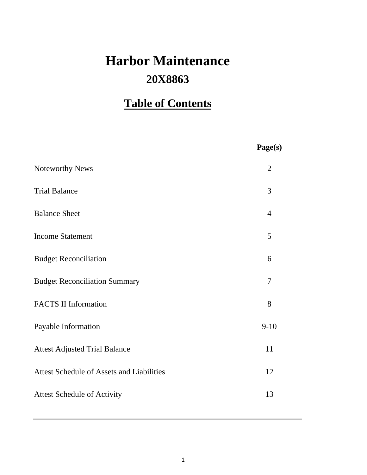# **20X8863 Harbor Maintenance**

# **Table of Contents**

|                                                  | Page(s)        |
|--------------------------------------------------|----------------|
| Noteworthy News                                  | $\overline{2}$ |
| <b>Trial Balance</b>                             | 3              |
| <b>Balance Sheet</b>                             | $\overline{4}$ |
| <b>Income Statement</b>                          | 5              |
| <b>Budget Reconciliation</b>                     | 6              |
| <b>Budget Reconciliation Summary</b>             | 7              |
| <b>FACTS II Information</b>                      | 8              |
| Payable Information                              | $9 - 10$       |
| <b>Attest Adjusted Trial Balance</b>             | 11             |
| <b>Attest Schedule of Assets and Liabilities</b> | 12             |
| <b>Attest Schedule of Activity</b>               | 13             |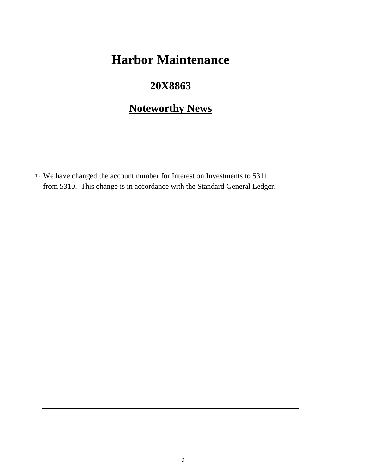# **Harbor Maintenance**

## **20X8863**

# **Noteworthy News**

**1.** We have changed the account number for Interest on Investments to 5311 from 5310. This change is in accordance with the Standard General Ledger.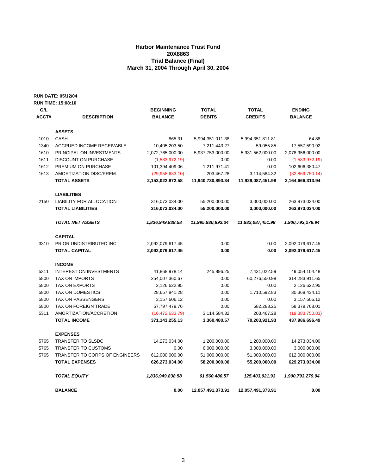## **Harbor Maintenance Trust Fund 20X8863 Trial Balance (Final) March 31, 2004 Through April 30, 2004**

**RUN DATE: 05/12/04**

|       | <b>RUN TIME: 15:08:10</b>             |                   |                   |                   |                   |
|-------|---------------------------------------|-------------------|-------------------|-------------------|-------------------|
| G/L   |                                       | <b>BEGINNING</b>  | <b>TOTAL</b>      | <b>TOTAL</b>      | <b>ENDING</b>     |
| ACCT# | <b>DESCRIPTION</b>                    | <b>BALANCE</b>    | <b>DEBITS</b>     | <b>CREDITS</b>    | <b>BALANCE</b>    |
|       |                                       |                   |                   |                   |                   |
|       | <b>ASSETS</b>                         |                   |                   |                   |                   |
| 1010  | <b>CASH</b>                           | 865.31            | 5,994,351,011.38  | 5,994,351,811.81  | 64.88             |
| 1340  | ACCRUED INCOME RECEIVABLE             | 10,405,203.50     | 7,211,443.27      | 59,055.85         | 17,557,590.92     |
| 1610  | PRINCIPAL ON INVESTMENTS              | 2,072,765,000.00  | 5,937,753,000.00  | 5,931,562,000.00  | 2,078,956,000.00  |
| 1611  | <b>DISCOUNT ON PURCHASE</b>           | (1,583,972.19)    | 0.00              | 0.00              | (1,583,972.19)    |
| 1612  | PREMIUM ON PURCHASE                   | 101,394,409.06    | 1,211,971.41      | 0.00              | 102,606,380.47    |
| 1613  | AMORTIZATION DISC/PREM                | (29,958,633.10)   | 203,467.28        | 3,114,584.32      | (32,869,750.14)   |
|       | <b>TOTAL ASSETS</b>                   | 2,153,022,872.58  | 11,940,730,893.34 | 11,929,087,451.98 | 2,164,666,313.94  |
|       | <b>LIABILITIES</b>                    |                   |                   |                   |                   |
| 2150  | <b>LIABILITY FOR ALLOCATION</b>       | 316,073,034.00    | 55,200,000.00     | 3,000,000.00      | 263,873,034.00    |
|       | <b>TOTAL LIABILITIES</b>              | 316,073,034.00    | 55,200,000.00     | 3,000,000.00      | 263,873,034.00    |
|       | <b>TOTAL NET ASSETS</b>               | 1,836,949,838.58  | 11,995,930,893.34 | 11,932,087,451.98 | 1,900,793,279.94  |
|       | <b>CAPITAL</b>                        |                   |                   |                   |                   |
| 3310  | PRIOR UNDISTRIBUTED INC               | 2,092,079,617.45  | 0.00              | 0.00              | 2,092,079,617.45  |
|       | <b>TOTAL CAPITAL</b>                  | 2,092,079,617.45  | 0.00              | 0.00              | 2,092,079,617.45  |
|       | <b>INCOME</b>                         |                   |                   |                   |                   |
| 5311  | <b>INTEREST ON INVESTMENTS</b>        | 41,868,978.14     | 245,896.25        | 7,431,022.59      | 49,054,104.48     |
| 5800  | <b>TAX ON IMPORTS</b>                 | 254,007,360.67    | 0.00              | 60,276,550.98     | 314,283,911.65    |
| 5800  | TAX ON EXPORTS                        | 2,126,622.95      | 0.00              | 0.00              | 2,126,622.95      |
| 5800  | <b>TAX ON DOMESTICS</b>               | 28,657,841.28     | 0.00              | 1,710,592.83      | 30,368,434.11     |
| 5800  | TAX ON PASSENGERS                     | 3,157,606.12      | 0.00              | 0.00              | 3,157,606.12      |
| 5800  | TAX ON FOREIGN TRADE                  | 57,797,479.76     | 0.00              | 582,288.25        | 58,379,768.01     |
| 5311  | AMORTIZATION/ACCRETION                | (16, 472, 633.79) | 3,114,584.32      | 203,467.28        | (19, 383, 750.83) |
|       | <b>TOTAL INCOME</b>                   | 371,143,255.13    | 3,360,480.57      | 70,203,921.93     | 437,986,696.49    |
|       | <b>EXPENSES</b>                       |                   |                   |                   |                   |
| 5765  | <b>TRANSFER TO SLSDC</b>              | 14,273,034.00     | 1,200,000.00      | 1,200,000.00      | 14,273,034.00     |
| 5765  | TRANSFER TO CUSTOMS                   | 0.00              | 6,000,000.00      | 3,000,000.00      | 3,000,000.00      |
| 5765  | <b>TRANSFER TO CORPS OF ENGINEERS</b> | 612,000,000.00    | 51,000,000.00     | 51,000,000.00     | 612,000,000.00    |
|       | <b>TOTAL EXPENSES</b>                 | 626,273,034.00    | 58,200,000.00     | 55,200,000.00     | 629,273,034.00    |
|       | <b>TOTAL EQUITY</b>                   | 1,836,949,838.58  | 61,560,480.57     | 125,403,921.93    | 1,900,793,279.94  |
|       | <b>BALANCE</b>                        | 0.00              | 12,057,491,373.91 | 12,057,491,373.91 | 0.00              |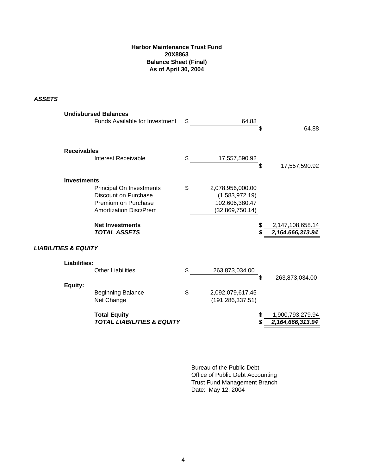## **Harbor Maintenance Trust Fund 20X8863 Balance Sheet (Final) As of April 30, 2004**

*ASSETS*

|                                 | <b>Undisbursed Balances</b><br>Funds Available for Investment                                                                                                    | \$<br>64.88                                                                   | \$<br>64.88                          |
|---------------------------------|------------------------------------------------------------------------------------------------------------------------------------------------------------------|-------------------------------------------------------------------------------|--------------------------------------|
| <b>Receivables</b>              | Interest Receivable                                                                                                                                              | \$<br>17,557,590.92                                                           | 17,557,590.92                        |
| <b>Investments</b>              | Principal On Investments<br><b>Discount on Purchase</b><br>Premium on Purchase<br><b>Amortization Disc/Prem</b><br><b>Net Investments</b><br><b>TOTAL ASSETS</b> | \$<br>2,078,956,000.00<br>(1,583,972.19)<br>102,606,380.47<br>(32,869,750.14) | 2,147,108,658.14<br>2,164,666,313.94 |
| <b>LIABILITIES &amp; EQUITY</b> |                                                                                                                                                                  |                                                                               |                                      |
| <b>Liabilities:</b><br>Equity:  | <b>Other Liabilities</b>                                                                                                                                         | \$<br>263,873,034.00                                                          | \$<br>263,873,034.00                 |
|                                 | <b>Beginning Balance</b><br>Net Change                                                                                                                           | \$<br>2,092,079,617.45<br>(191, 286, 337.51)                                  |                                      |
|                                 | <b>Total Equity</b><br><b>TOTAL LIABILITIES &amp; EQUITY</b>                                                                                                     |                                                                               | 1,900,793,279.94<br>2,164,666,313.94 |

Bureau of the Public Debt Office of Public Debt Accounting Trust Fund Management Branch Date: May 12, 2004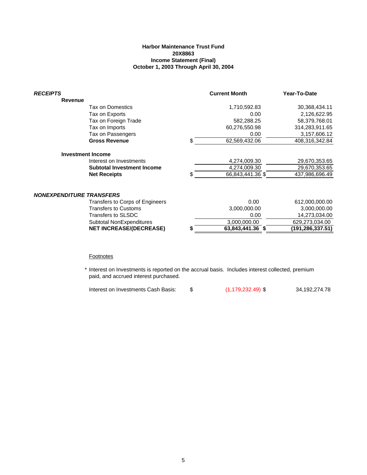### **Harbor Maintenance Trust Fund 20X8863 Income Statement (Final) October 1, 2003 Through April 30, 2004**

| <b>RECEIPTS</b>                 |                                 |   | <b>Current Month</b> | Year-To-Date     |
|---------------------------------|---------------------------------|---|----------------------|------------------|
| Revenue                         |                                 |   |                      |                  |
|                                 | Tax on Domestics                |   | 1,710,592.83         | 30,368,434.11    |
|                                 | Tax on Exports                  |   | 0.00                 | 2,126,622.95     |
|                                 | Tax on Foreign Trade            |   | 582,288.25           | 58,379,768.01    |
|                                 | Tax on Imports                  |   | 60,276,550.98        | 314,283,911.65   |
|                                 | Tax on Passengers               |   | 0.00                 | 3,157,606.12     |
|                                 | <b>Gross Revenue</b>            | S | 62,569,432.06        | 408,316,342.84   |
|                                 | <b>Investment Income</b>        |   |                      |                  |
|                                 | Interest on Investments         |   | 4,274,009.30         | 29,670,353.65    |
|                                 | Subtotal Investment Income      |   | 4,274,009.30         | 29,670,353.65    |
|                                 | <b>Net Receipts</b>             |   | 66,843,441.36 \$     | 437,986,696.49   |
| <b>NONEXPENDITURE TRANSFERS</b> |                                 |   |                      |                  |
|                                 | Transfers to Corps of Engineers |   | 0.00                 | 612,000,000.00   |
|                                 | <b>Transfers to Customs</b>     |   | 3,000,000.00         | 3,000,000.00     |
|                                 | Transfers to SLSDC              |   | 0.00                 | 14,273,034.00    |
|                                 | Subtotal NonExpenditures        |   | 3,000,000.00         | 629,273,034.00   |
|                                 | <b>NET INCREASE/(DECREASE)</b>  |   | 63,843,441.36 \$     | (191,286,337.51) |
|                                 |                                 |   |                      |                  |

#### **Footnotes**

\* Interest on Investments is reported on the accrual basis. Includes interest collected, premium paid, and accrued interest purchased.

| Interest on Investments Cash Basis: |  | $(1, 179, 232.49)$ \$ | 34,192,274.78 |
|-------------------------------------|--|-----------------------|---------------|
|-------------------------------------|--|-----------------------|---------------|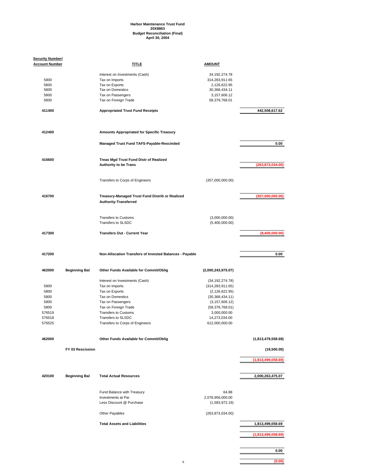## **Harbor Maintenance Trust Fund 20X8863 Budget Reconciliation (Final) April 30, 2004**

| <b>Security Number/</b><br><b>Account Number</b> |                      | <b>TITLE</b>                                            | <b>AMOUNT</b>                 |                    |
|--------------------------------------------------|----------------------|---------------------------------------------------------|-------------------------------|--------------------|
|                                                  |                      |                                                         |                               |                    |
|                                                  |                      | Interest on Investments (Cash)                          | 34, 192, 274. 78              |                    |
| 5800                                             |                      | Tax on Imports                                          | 314,283,911.65                |                    |
| 5800<br>5800                                     |                      | Tax on Exports<br>Tax on Domestics                      | 2,126,622.95<br>30,368,434.11 |                    |
| 5800                                             |                      | Tax on Passengers                                       | 3,157,606.12                  |                    |
| 5800                                             |                      | Tax on Foreign Trade                                    | 58,379,768.01                 |                    |
|                                                  |                      |                                                         |                               |                    |
| 411400                                           |                      | <b>Appropriated Trust Fund Receipts</b>                 |                               | 442,508,617.62     |
| 412400                                           |                      | Amounts Appropriated for Specific Treasury              |                               |                    |
|                                                  |                      |                                                         |                               |                    |
|                                                  |                      | Managed Trust Fund TAFS-Payable-Rescinded               |                               | 0.00               |
|                                                  |                      |                                                         |                               |                    |
| 416600                                           |                      | Treas Mgd Trust Fund Distr of Realized                  |                               |                    |
|                                                  |                      | <b>Authority to be Trans</b>                            |                               | (263, 873, 034.00) |
|                                                  |                      |                                                         |                               |                    |
|                                                  |                      | Transfers to Corps of Engineers                         | (357,000,000.00)              |                    |
|                                                  |                      |                                                         |                               |                    |
| 416700                                           |                      | Treasury-Managed Trust Fund Distrib or Realized         |                               | (357,000,000.00)   |
|                                                  |                      | <b>Authority-Transferred</b>                            |                               |                    |
|                                                  |                      |                                                         |                               |                    |
|                                                  |                      |                                                         |                               |                    |
|                                                  |                      | <b>Transfers to Customs</b>                             | (3,000,000.00)                |                    |
|                                                  |                      | Transfers to SLSDC                                      | (5,400,000.00)                |                    |
| 417300                                           |                      | <b>Transfers Out - Current Year</b>                     |                               | (8,400,000.00)     |
|                                                  |                      |                                                         |                               |                    |
|                                                  |                      |                                                         |                               |                    |
| 417200                                           |                      | Non-Allocation Transfers of Invested Balances - Payable |                               | 0.00               |
|                                                  |                      |                                                         |                               |                    |
|                                                  |                      |                                                         |                               |                    |
| 462000                                           | <b>Beginning Bal</b> | Other Funds Available for Commit/Oblig                  | (2,000,243,975.07)            |                    |
|                                                  |                      |                                                         |                               |                    |
|                                                  |                      | Interest on Investments (Cash)                          | (34, 192, 274.78)             |                    |
| 5800                                             |                      | Tax on Imports                                          | (314, 283, 911.65)            |                    |
| 5800                                             |                      | Tax on Exports                                          | (2, 126, 622.95)              |                    |
| 5800                                             |                      | Tax on Domestics                                        | (30, 368, 434.11)             |                    |
| 5800                                             |                      | Tax on Passengers                                       | (3, 157, 606.12)              |                    |
| 5800                                             |                      | Tax on Foreign Trade                                    | (58, 379, 768.01)             |                    |
| 576519                                           |                      | <b>Transfers to Customs</b>                             | 3,000,000.00                  |                    |
| 576518                                           |                      | Transfers to SLSDC                                      | 14,273,034.00                 |                    |
| 576525                                           |                      | Transfers to Corps of Engineers                         | 612,000,000.00                |                    |
|                                                  |                      |                                                         |                               |                    |
| 462000                                           |                      | Other Funds Available for Commit/Oblig                  |                               | (1,813,479,558.69) |
|                                                  |                      |                                                         |                               |                    |
|                                                  | FY 03 Rescission     |                                                         |                               | (19,500.00)        |
|                                                  |                      |                                                         |                               | (1,813,499,058.69) |
|                                                  |                      |                                                         |                               |                    |
|                                                  |                      |                                                         |                               |                    |
| 420100                                           | <b>Beginning Bal</b> | <b>Total Actual Resources</b>                           |                               | 2,000,263,475.07   |
|                                                  |                      |                                                         |                               |                    |
|                                                  |                      | Fund Balance with Treasury                              | 64.88                         |                    |
|                                                  |                      | Investments at Par                                      | 2,078,956,000.00              |                    |
|                                                  |                      | Less Discount @ Purchase                                | (1,583,972.19)                |                    |
|                                                  |                      |                                                         |                               |                    |
|                                                  |                      | Other Payables                                          | (263,873,034.00)              |                    |
|                                                  |                      |                                                         |                               |                    |
|                                                  |                      | <b>Total Assets and Liabilities</b>                     |                               | 1,813,499,058.69   |
|                                                  |                      |                                                         |                               |                    |
|                                                  |                      |                                                         |                               | (1,813,499,058.69) |
|                                                  |                      |                                                         |                               |                    |
|                                                  |                      |                                                         |                               | 0.00               |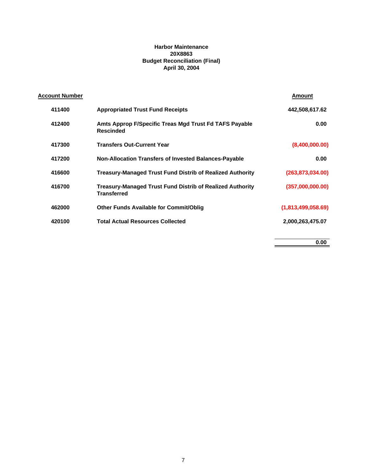## **Harbor Maintenance 20X8863 Budget Reconciliation (Final) April 30, 2004**

| <u>Account Number</u> |                                                                                        | Amount             |
|-----------------------|----------------------------------------------------------------------------------------|--------------------|
| 411400                | <b>Appropriated Trust Fund Receipts</b>                                                | 442,508,617.62     |
| 412400                | Amts Approp F/Specific Treas Mgd Trust Fd TAFS Payable<br><b>Rescinded</b>             | 0.00               |
| 417300                | <b>Transfers Out-Current Year</b>                                                      | (8,400,000.00)     |
| 417200                | <b>Non-Allocation Transfers of Invested Balances-Payable</b>                           | 0.00               |
| 416600                | <b>Treasury-Managed Trust Fund Distrib of Realized Authority</b>                       | (263, 873, 034.00) |
| 416700                | <b>Treasury-Managed Trust Fund Distrib of Realized Authority</b><br><b>Transferred</b> | (357,000,000.00)   |
| 462000                | <b>Other Funds Available for Commit/Oblig</b>                                          | (1,813,499,058.69) |
| 420100                | <b>Total Actual Resources Collected</b>                                                | 2,000,263,475.07   |
|                       |                                                                                        |                    |

**0.00**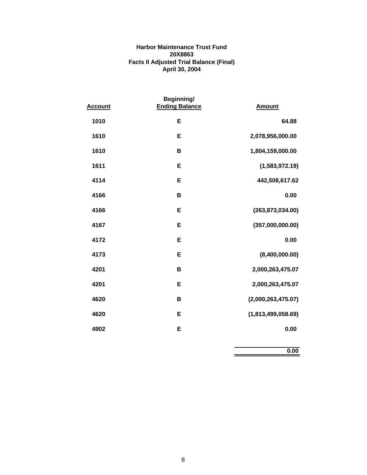## **Harbor Maintenance Trust Fund 20X8863 Facts II Adjusted Trial Balance (Final) April 30, 2004**

| <b>Account</b> | Beginning/<br><b>Ending Balance</b> | <b>Amount</b>      |
|----------------|-------------------------------------|--------------------|
| 1010           | E                                   | 64.88              |
| 1610           | Е                                   | 2,078,956,000.00   |
| 1610           | в                                   | 1,804,159,000.00   |
| 1611           | E                                   | (1,583,972.19)     |
| 4114           | Е                                   | 442,508,617.62     |
| 4166           | B                                   | 0.00               |
| 4166           | E                                   | (263, 873, 034.00) |
| 4167           | Е                                   | (357,000,000.00)   |
| 4172           | Е                                   | 0.00               |
| 4173           | Е                                   | (8,400,000.00)     |
| 4201           | В                                   | 2,000,263,475.07   |
| 4201           | E                                   | 2,000,263,475.07   |
| 4620           | В                                   | (2,000,263,475.07) |
| 4620           | E                                   | (1,813,499,058.69) |
| 4902           | Е                                   | 0.00               |

**0.00**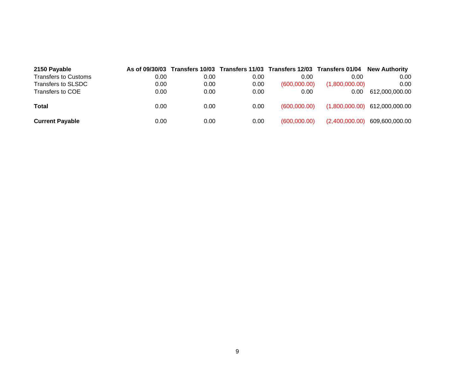| 2150 Payable           |      |      |      |              | As of 09/30/03 Transfers 10/03 Transfers 11/03 Transfers 12/03 Transfers 01/04 New Authority |                                 |
|------------------------|------|------|------|--------------|----------------------------------------------------------------------------------------------|---------------------------------|
| Transfers to Customs   | 0.00 | 0.00 | 0.00 | 0.00         | 0.00                                                                                         | 0.00                            |
| Transfers to SLSDC     | 0.00 | 0.00 | 0.00 | (600.000.00) | (1,800,000.00)                                                                               | 0.00                            |
| Transfers to COE       | 0.00 | 0.00 | 0.00 | 0.00         | 0.00                                                                                         | 612.000.000.00                  |
| Total                  | 0.00 | 0.00 | 0.00 | (600.000.00) |                                                                                              | $(1,800,000.00)$ 612,000,000.00 |
| <b>Current Payable</b> | 0.00 | 0.00 | 0.00 | (600.000.00) | (2,400,000.00)                                                                               | 609,600,000.00                  |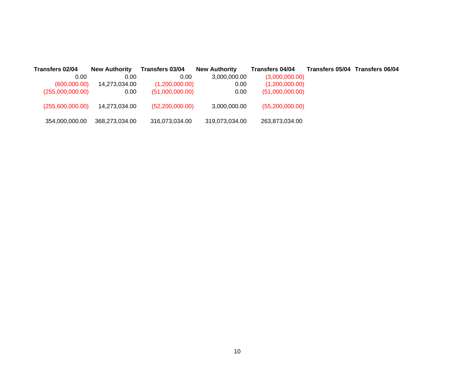| Transfers 02/04  | <b>New Authority</b> | Transfers 03/04   | <b>New Authority</b> | Transfers 04/04   | Transfers 05/04 Transfers 06/04 |
|------------------|----------------------|-------------------|----------------------|-------------------|---------------------------------|
| 0.00             | 0.00                 | 0.00              | 3.000.000.00         | (3,000,000.00)    |                                 |
| (600,000.00)     | 14,273,034.00        | (1,200,000.00)    | 0.00                 | (1,200,000.00)    |                                 |
| (255,000,000.00) | 0.00 <sub>1</sub>    | (51,000,000.00)   | 0.00                 | (51,000,000.00)   |                                 |
| (255,600,000.00) | 14.273.034.00        | (52, 200, 000.00) | 3,000,000.00         | (55, 200, 000.00) |                                 |
| 354,000,000.00   | 368,273,034.00       | 316,073,034.00    | 319,073,034.00       | 263,873,034.00    |                                 |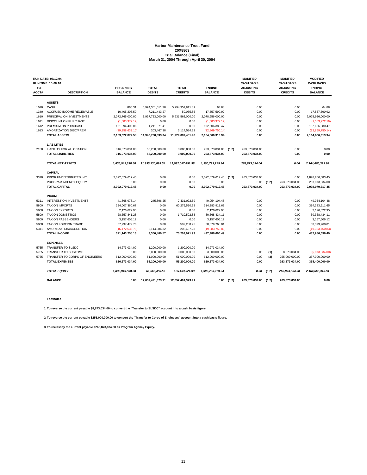# **Harbor Maintenance Trust Fund 20X8863 Trial Balance (Final) March 31, 2004 Through April 30, 2004**

|       | <b>RUN DATE: 05/12/04</b>       |                   |                   |                   |                   |       | <b>MODIFIED</b>   |       | <b>MODIFIED</b>   | <b>MODIFIED</b>   |
|-------|---------------------------------|-------------------|-------------------|-------------------|-------------------|-------|-------------------|-------|-------------------|-------------------|
|       | <b>RUN TIME: 15:08:10</b>       |                   |                   |                   |                   |       | <b>CASH BASIS</b> |       | <b>CASH BASIS</b> | <b>CASH BASIS</b> |
| G/L   |                                 | <b>BEGINNING</b>  | <b>TOTAL</b>      | <b>TOTAL</b>      | <b>ENDING</b>     |       | <b>ADJUSTING</b>  |       | <b>ADJUSTING</b>  | <b>ENDING</b>     |
| ACCT# | <b>DESCRIPTION</b>              | <b>BALANCE</b>    | <b>DEBITS</b>     | <b>CREDITS</b>    | <b>BALANCE</b>    |       | <b>DEBITS</b>     |       | <b>CREDITS</b>    | <b>BALANCE</b>    |
|       | <b>ASSETS</b>                   |                   |                   |                   |                   |       |                   |       |                   |                   |
| 1010  | CASH                            | 865.31            | 5,994,351,011.38  | 5,994,351,811.81  | 64.88             |       | 0.00              |       | 0.00              | 64.88             |
| 1340  | ACCRUED INCOME RECEIVABLE       | 10.405.203.50     | 7,211,443.27      | 59,055.85         | 17,557,590.92     |       | 0.00              |       | 0.00              | 17,557,590.92     |
| 1610  | PRINCIPAL ON INVESTMENTS        | 2,072,765,000.00  | 5,937,753,000.00  | 5,931,562,000.00  | 2,078,956,000.00  |       | 0.00              |       | 0.00              | 2,078,956,000.00  |
| 1611  | <b>DISCOUNT ON PURCHASE</b>     | (1,583,972.19)    | 0.00              | 0.00              | (1,583,972.19)    |       | 0.00              |       | 0.00              | (1,583,972.19)    |
| 1612  | PREMIUM ON PURCHASE             | 101,394,409.06    | 1,211,971.41      | 0.00              | 102,606,380.47    |       | 0.00              |       | 0.00              | 102,606,380.47    |
| 1613  | AMORTIZATION DISC/PREM          | (29,958,633.10)   | 203,467.28        | 3,114,584.32      | (32,869,750.14)   |       | 0.00              |       | 0.00              | (32,869,750.14)   |
|       | <b>TOTAL ASSETS</b>             | 2,153,022,872.58  | 11,940,730,893.34 | 11,929,087,451.98 | 2,164,666,313.94  |       | 0.00              |       | 0.00              | 2,164,666,313.94  |
|       | <b>LIABILITIES</b>              |                   |                   |                   |                   |       |                   |       |                   |                   |
| 2150  | <b>LIABILITY FOR ALLOCATION</b> | 316.073.034.00    | 55.200.000.00     | 3.000.000.00      | 263,873,034.00    | (1.2) | 263.873.034.00    |       | 0.00              | 0.00              |
|       | <b>TOTAL LIABILITIES</b>        | 316,073,034.00    | 55,200,000.00     | 3,000,000.00      | 263,873,034.00    |       | 263,873,034.00    |       | 0.00              | 0.00              |
|       |                                 |                   |                   |                   |                   |       |                   |       |                   |                   |
|       | <b>TOTAL NET ASSETS</b>         | 1,836,949,838.58  | 11,995,930,893.34 | 11.932.087.451.98 | 1,900,793,279.94  |       | 263,873,034.00    |       | 0.00              | 2,164,666,313.94  |
|       | <b>CAPITAL</b>                  |                   |                   |                   |                   |       |                   |       |                   |                   |
| 3310  | PRIOR UNDISTRIBUTED INC         | 2,092,079,617.45  | 0.00              | 0.00              | 2,092,079,617.45  | (1,2) | 263,873,034.00    |       | 0.00              | 1,828,206,583.45  |
|       | PROGRAM AGENCY EQUITY           | 0.00              | 0.00              | 0.00              | 0.00              |       | 0.00              | (1,2) | 263,873,034.00    | 263,873,034.00    |
|       | <b>TOTAL CAPITAL</b>            | 2,092,079,617.45  | 0.00              | 0.00              | 2,092,079,617.45  |       | 263,873,034.00    |       | 263,873,034.00    | 2,092,079,617.45  |
|       | <b>INCOME</b>                   |                   |                   |                   |                   |       |                   |       |                   |                   |
| 5311  | <b>INTEREST ON INVESTMENTS</b>  | 41,868,978.14     | 245,896.25        | 7,431,022.59      | 49,054,104.48     |       | 0.00              |       | 0.00              | 49,054,104.48     |
| 5800  | <b>TAX ON IMPORTS</b>           | 254,007,360.67    | 0.00              | 60,276,550.98     | 314,283,911.65    |       | 0.00              |       | 0.00              | 314,283,911.65    |
| 5800  | <b>TAX ON EXPORTS</b>           | 2,126,622.95      | 0.00              | 0.00              | 2,126,622.95      |       | 0.00              |       | 0.00              | 2,126,622.95      |
| 5800  | <b>TAX ON DOMESTICS</b>         | 28,657,841.28     | 0.00              | 1,710,592.83      | 30,368,434.11     |       | 0.00              |       | 0.00              | 30,368,434.11     |
| 5800  | TAX ON PASSENGERS               | 3,157,606.12      | 0.00              | 0.00              | 3,157,606.12      |       | 0.00              |       | 0.00              | 3,157,606.12      |
| 5800  | TAX ON FOREIGN TRADE            | 57.797.479.76     | 0.00              | 582.288.25        | 58.379.768.01     |       | 0.00              |       | 0.00              | 58,379,768.01     |
| 5311  | AMORTIZATION/ACCRETION          | (16, 472, 633.79) | 3.114.584.32      | 203.467.28        | (19, 383, 750.83) |       | 0.00              |       | 0.00              | (19, 383, 750.83) |
|       | <b>TOTAL INCOME</b>             | 371,143,255.13    | 3.360.480.57      | 70.203.921.93     | 437,986,696.49    |       | 0.00              |       | 0.00              | 437,986,696.49    |
|       | <b>EXPENSES</b>                 |                   |                   |                   |                   |       |                   |       |                   |                   |
| 5765  | <b>TRANSFER TO SLSDC</b>        | 14,273,034.00     | 1,200,000.00      | 1,200,000.00      | 14,273,034.00     |       |                   |       |                   |                   |
| 5765  | <b>TRANSFER TO CUSTOMS</b>      | 0.00              | 6,000,000.00      | 3,000,000.00      | 3,000,000.00      |       | 0.00              | (1)   | 8,873,034.00      | (5,873,034.00)    |
| 5765  | TRANSFER TO CORPS OF ENGINEERS  | 612,000,000.00    | 51,000,000.00     | 51,000,000.00     | 612,000,000.00    |       | 0.00              | (2)   | 255,000,000.00    | 357,000,000.00    |
|       | <b>TOTAL EXPENSES</b>           | 626,273,034.00    | 58,200,000.00     | 55,200,000.00     | 629,273,034.00    |       | 0.00              |       | 263,873,034.00    | 365,400,000.00    |
|       | <b>TOTAL EQUITY</b>             | 1,836,949,838.58  | 61,560,480.57     | 125,403,921.93    | 1,900,793,279.94  |       | 0.00              | (1,2) | 263,873,034.00    | 2,164,666,313.94  |
|       | <b>BALANCE</b>                  | 0.00              | 12,057,491,373.91 | 12,057,491,373.91 | 0.00              | (1,2) | 263,873,034.00    | (1,2) | 263,873,034.00    | 0.00              |

**Footnotes**

**1 To reverse the current payable \$8,873,034.00 to convert the "Transfer to SLSDC" account into a cash basis figure.**

**2 To reverse the current payable \$255,000,000.00 to convert the "Transfer to Corps of Engineers" account into a cash basis figure.**

**3 To reclassify the current payable \$263,873,034.00 as Program Agency Equity.**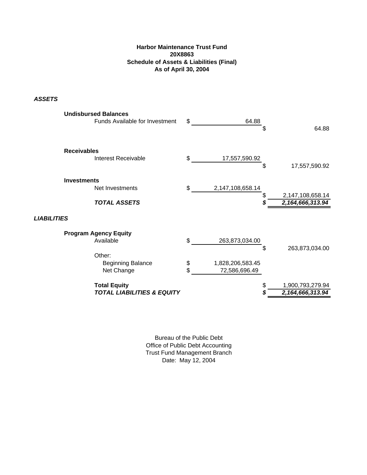## **Harbor Maintenance Trust Fund 20X8863 Schedule of Assets & Liabilities (Final) As of April 30, 2004**

*ASSETS*

| <b>Total Equity</b><br><b>TOTAL LIABILITIES &amp; EQUITY</b>    |          | \$                                | 1,900,793,279.94<br>2,164,666,313.94 |
|-----------------------------------------------------------------|----------|-----------------------------------|--------------------------------------|
| Other:<br><b>Beginning Balance</b><br>Net Change                | \$<br>\$ | 1,828,206,583.45<br>72,586,696.49 |                                      |
| <b>LIABILITIES</b><br><b>Program Agency Equity</b><br>Available | \$       | 263,873,034.00<br>\$              | 263,873,034.00                       |
| <b>TOTAL ASSETS</b>                                             |          | \$                                | 2,147,108,658.14<br>2,164,666,313.94 |
| <b>Investments</b><br>Net Investments                           | \$       | 2,147,108,658.14                  |                                      |
| <b>Receivables</b><br>Interest Receivable                       | \$       | 17,557,590.92<br>\$               | 17,557,590.92                        |
| <b>Undisbursed Balances</b><br>Funds Available for Investment   | \$       | 64.88<br>\$                       | 64.88                                |

Bureau of the Public Debt Office of Public Debt Accounting Trust Fund Management Branch Date: May 12, 2004